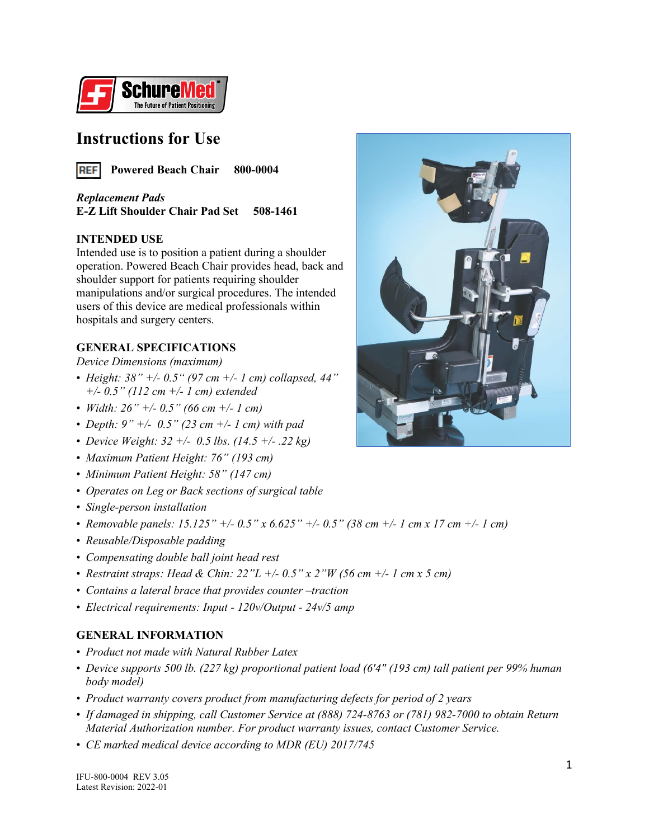

### **Instructions for Use**



*Replacement Pads* **E-Z Lift Shoulder Chair Pad Set 508-1461**

#### **INTENDED USE**

Intended use is to position a patient during a shoulder operation. Powered Beach Chair provides head, back and shoulder support for patients requiring shoulder manipulations and/or surgical procedures. The intended users of this device are medical professionals within hospitals and surgery centers.

#### **GENERAL SPECIFICATIONS**

*Device Dimensions (maximum)*

- *Height: 38" +/- 0.5" (97 cm +/- 1 cm) collapsed, 44" +/- 0.5" (112 cm +/- 1 cm) extended*
- *Width: 26" +/- 0.5" (66 cm +/- 1 cm)*
- *Depth: 9" +/- 0.5" (23 cm +/- 1 cm) with pad*
- *Device Weight: 32 +/- 0.5 lbs. (14.5 +/- .22 kg)*
- *Maximum Patient Height: 76" (193 cm)*
- *Minimum Patient Height: 58" (147 cm)*
- *Operates on Leg or Back sections of surgical table*
- *Single-person installation*
- *Removable panels: 15.125" +/- 0.5" x 6.625" +/- 0.5" (38 cm +/- 1 cm x 17 cm +/- 1 cm)*
- *Reusable/Disposable padding*
- *Compensating double ball joint head rest*
- *Restraint straps: Head & Chin: 22"L +/- 0.5" x 2"W (56 cm +/- 1 cm x 5 cm)*
- *Contains a lateral brace that provides counter traction*
- *Electrical requirements: Input - 120v/Output - 24v/5 amp*

#### **GENERAL INFORMATION**

- *Product not made with Natural Rubber Latex*
- *Device supports 500 lb. (227 kg) proportional patient load (6'4" (193 cm) tall patient per 99% human body model)*
- *Product warranty covers product from manufacturing defects for period of 2 years*
- *If damaged in shipping, call Customer Service at (888) 724-8763 or (781) 982-7000 to obtain Return Material Authorization number. For product warranty issues, contact Customer Service.*
- *CE marked medical device according to MDR (EU) 2017/745*

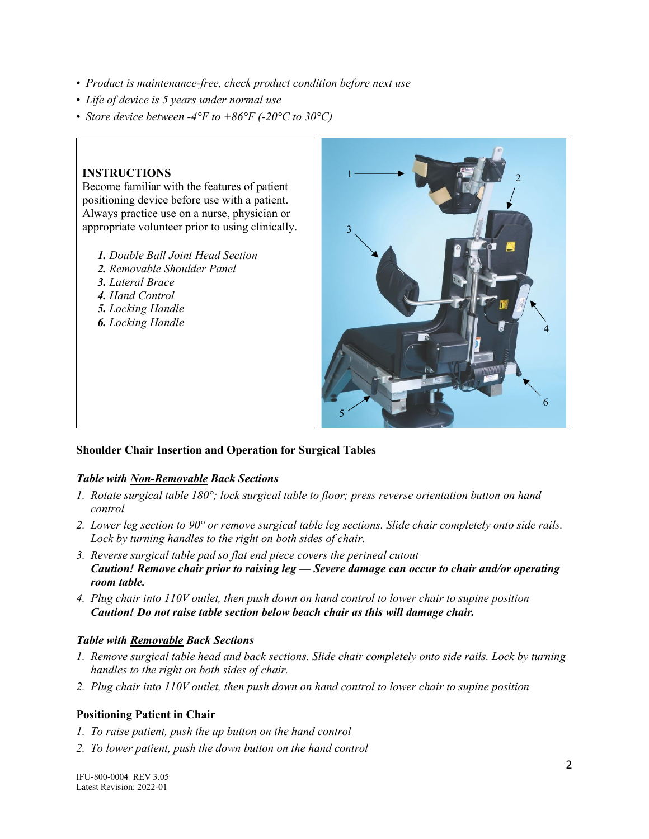- *Product is maintenance-free, check product condition before next use*
- *Life of device is 5 years under normal use*
- *Store device between -4°F to +86°F (-20°C to 30°C)*

#### **INSTRUCTIONS**

Become familiar with the features of patient positioning device before use with a patient. Always practice use on a nurse, physician or appropriate volunteer prior to using clinically.

- *1. Double Ball Joint Head Section*
- *2. Removable Shoulder Panel*
- *3. Lateral Brace*
- *4. Hand Control*
- *5. Locking Handle*
- *6. Locking Handle*



#### **Shoulder Chair Insertion and Operation for Surgical Tables**

#### *Table with Non-Removable Back Sections*

- *1. Rotate surgical table 180°; lock surgical table to floor; press reverse orientation button on hand control*
- *2. Lower leg section to 90° or remove surgical table leg sections. Slide chair completely onto side rails. Lock by turning handles to the right on both sides of chair.*
- *3. Reverse surgical table pad so flat end piece covers the perineal cutout Caution! Remove chair prior to raising leg — Severe damage can occur to chair and/or operating room table.*
- *4. Plug chair into 110V outlet, then push down on hand control to lower chair to supine position Caution! Do not raise table section below beach chair as this will damage chair.*

#### *Table with Removable Back Sections*

- *1. Remove surgical table head and back sections. Slide chair completely onto side rails. Lock by turning handles to the right on both sides of chair.*
- *2. Plug chair into 110V outlet, then push down on hand control to lower chair to supine position*

#### **Positioning Patient in Chair**

- *1. To raise patient, push the up button on the hand control*
- *2. To lower patient, push the down button on the hand control*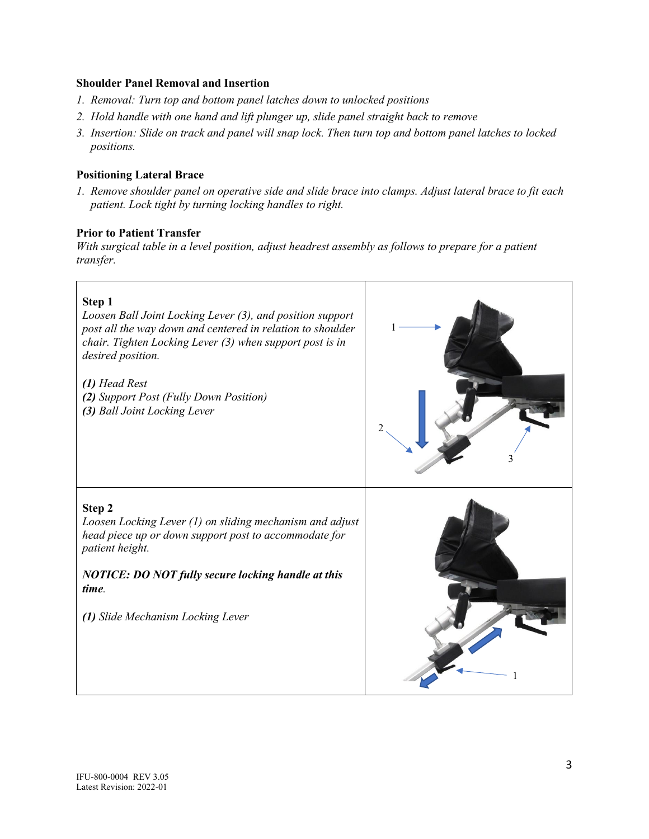#### **Shoulder Panel Removal and Insertion**

- *1. Removal: Turn top and bottom panel latches down to unlocked positions*
- *2. Hold handle with one hand and lift plunger up, slide panel straight back to remove*
- *3. Insertion: Slide on track and panel will snap lock. Then turn top and bottom panel latches to locked positions.*

#### **Positioning Lateral Brace**

*1. Remove shoulder panel on operative side and slide brace into clamps. Adjust lateral brace to fit each patient. Lock tight by turning locking handles to right.*

#### **Prior to Patient Transfer**

*With surgical table in a level position, adjust headrest assembly as follows to prepare for a patient transfer.*

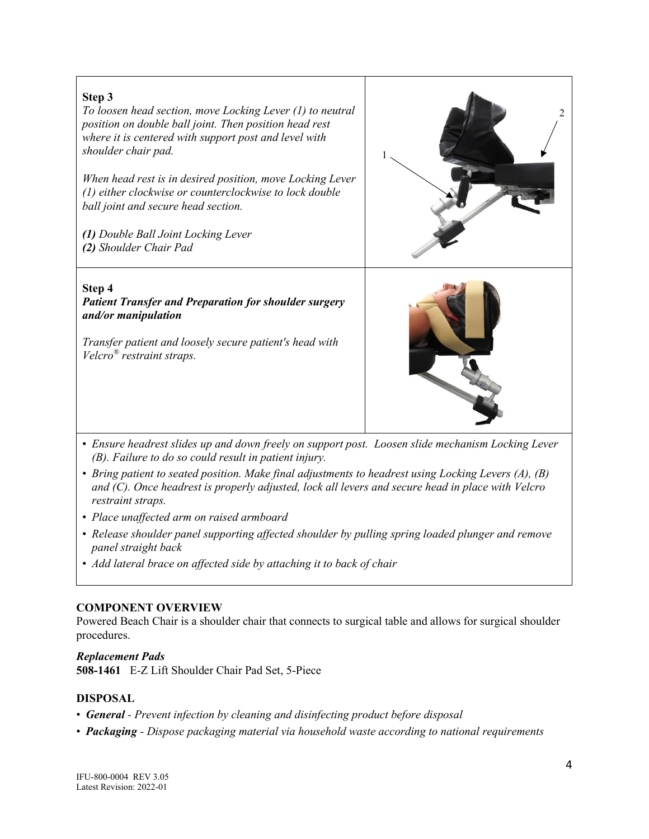

- *Ensure headrest slides up and down freely on support post. Loosen slide mechanism Locking Lever (B). Failure to do so could result in patient injury.*
- *Bring patient to seated position. Make final adjustments to headrest using Locking Levers (A), (B) and (C). Once headrest is properly adjusted, lock all levers and secure head in place with Velcro restraint straps.*
- *Place unaffected arm on raised armboard*
- *Release shoulder panel supporting affected shoulder by pulling spring loaded plunger and remove panel straight back*
- *Add lateral brace on affected side by attaching it to back of chair*

#### **COMPONENT OVERVIEW**

Powered Beach Chair is a shoulder chair that connects to surgical table and allows for surgical shoulder procedures.

#### *Replacement Pads*

**508-1461** E-Z Lift Shoulder Chair Pad Set, 5-Piece

#### **DISPOSAL**

- *General - Prevent infection by cleaning and disinfecting product before disposal*
- *Packaging - Dispose packaging material via household waste according to national requirements*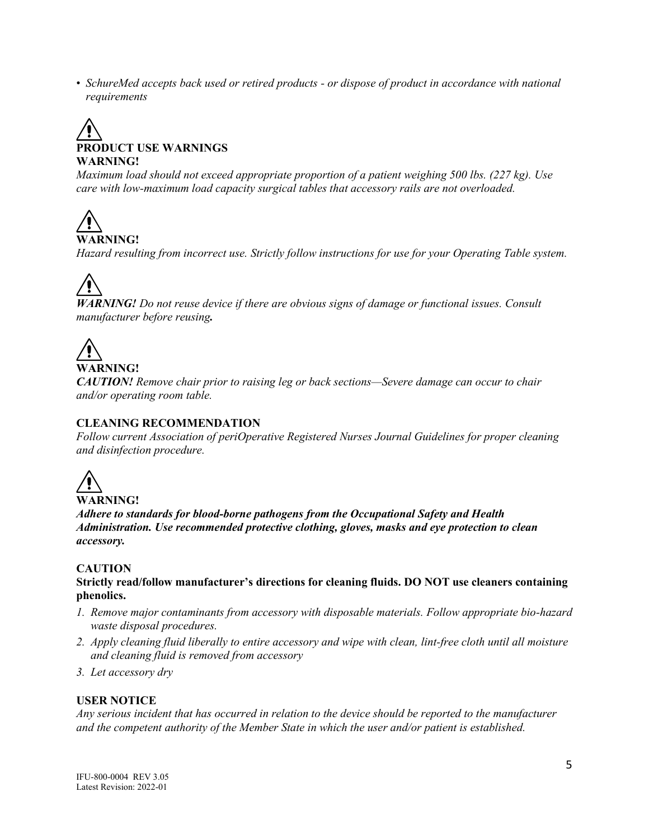• *SchureMed accepts back used or retired products - or dispose of product in accordance with national requirements*

# **PRODUCT USE WARNINGS WARNING!**

*Maximum load should not exceed appropriate proportion of a patient weighing 500 lbs. (227 kg). Use care with low-maximum load capacity surgical tables that accessory rails are not overloaded.* 

**WARNING!**

*Hazard resulting from incorrect use. Strictly follow instructions for use for your Operating Table system.*

*WARNING! Do not reuse device if there are obvious signs of damage or functional issues. Consult manufacturer before reusing.*

# **WARNING!**

*CAUTION! Remove chair prior to raising leg or back sections—Severe damage can occur to chair and/or operating room table.*

#### **CLEANING RECOMMENDATION**

*Follow current Association of periOperative Registered Nurses Journal Guidelines for proper cleaning and disinfection procedure.*

$$
\overbrace{\text{WARNING:}}
$$

*Adhere to standards for blood-borne pathogens from the Occupational Safety and Health Administration. Use recommended protective clothing, gloves, masks and eye protection to clean accessory.*

#### **CAUTION**

**Strictly read/follow manufacturer's directions for cleaning fluids. DO NOT use cleaners containing phenolics.**

- *1. Remove major contaminants from accessory with disposable materials. Follow appropriate bio-hazard waste disposal procedures.*
- *2. Apply cleaning fluid liberally to entire accessory and wipe with clean, lint-free cloth until all moisture and cleaning fluid is removed from accessory*
- *3. Let accessory dry*

#### **USER NOTICE**

*Any serious incident that has occurred in relation to the device should be reported to the manufacturer and the competent authority of the Member State in which the user and/or patient is established.*